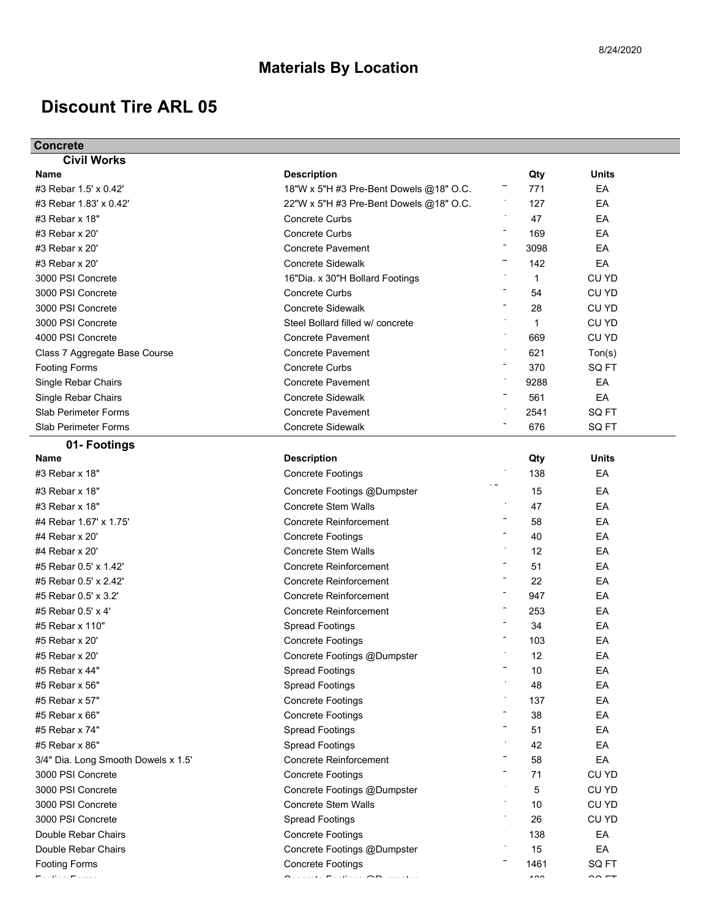## **Discount Tire ARL 05**

| <b>Concrete</b>                     |                                                                                                                                                                                                                                                                                                   |                          |                     |
|-------------------------------------|---------------------------------------------------------------------------------------------------------------------------------------------------------------------------------------------------------------------------------------------------------------------------------------------------|--------------------------|---------------------|
| <b>Civil Works</b>                  |                                                                                                                                                                                                                                                                                                   |                          |                     |
| Name                                | <b>Description</b>                                                                                                                                                                                                                                                                                | Qty                      | Units               |
| #3 Rebar 1.5' x 0.42'               | 18"W x 5"H #3 Pre-Bent Dowels @18" O.C.                                                                                                                                                                                                                                                           | 771                      | EA                  |
| #3 Rebar 1.83' x 0.42'              | 22"W x 5"H #3 Pre-Bent Dowels @18" O.C.                                                                                                                                                                                                                                                           | 127                      | EA                  |
| #3 Rebar x 18"                      | <b>Concrete Curbs</b>                                                                                                                                                                                                                                                                             | 47                       | EA                  |
| #3 Rebar x 20'                      | <b>Concrete Curbs</b>                                                                                                                                                                                                                                                                             | 169                      | EA                  |
| #3 Rebar x 20'                      | <b>Concrete Pavement</b>                                                                                                                                                                                                                                                                          | 3098                     | EA                  |
| #3 Rebar x 20'                      | <b>Concrete Sidewalk</b>                                                                                                                                                                                                                                                                          | 142                      | EA                  |
| 3000 PSI Concrete                   | 16"Dia. x 30"H Bollard Footings                                                                                                                                                                                                                                                                   | $\mathbf 1$              | CU YD               |
| 3000 PSI Concrete                   | Concrete Curbs                                                                                                                                                                                                                                                                                    | 54                       | CU YD               |
| 3000 PSI Concrete                   | <b>Concrete Sidewalk</b>                                                                                                                                                                                                                                                                          | 28                       | CU YD               |
| 3000 PSI Concrete                   | Steel Bollard filled w/ concrete                                                                                                                                                                                                                                                                  | 1                        | CU YD               |
| 4000 PSI Concrete                   | <b>Concrete Pavement</b>                                                                                                                                                                                                                                                                          | 669                      | CU YD               |
| Class 7 Aggregate Base Course       | <b>Concrete Pavement</b>                                                                                                                                                                                                                                                                          | 621                      | Ton(s)              |
| <b>Footing Forms</b>                | <b>Concrete Curbs</b>                                                                                                                                                                                                                                                                             | 370                      | SQ FT               |
| Single Rebar Chairs                 | <b>Concrete Pavement</b>                                                                                                                                                                                                                                                                          | 9288                     | EA                  |
| Single Rebar Chairs                 | <b>Concrete Sidewalk</b>                                                                                                                                                                                                                                                                          | 561                      | EA                  |
| <b>Slab Perimeter Forms</b>         | <b>Concrete Pavement</b>                                                                                                                                                                                                                                                                          | 2541                     | SQ FT               |
| Slab Perimeter Forms                | <b>Concrete Sidewalk</b>                                                                                                                                                                                                                                                                          | 676                      | SQ FT               |
| 01- Footings                        |                                                                                                                                                                                                                                                                                                   |                          |                     |
| Name                                | <b>Description</b>                                                                                                                                                                                                                                                                                | Qty                      | <b>Units</b>        |
| #3 Rebar x 18"                      | <b>Concrete Footings</b>                                                                                                                                                                                                                                                                          | 138                      | EA                  |
| #3 Rebar x 18"                      | Concrete Footings @Dumpster                                                                                                                                                                                                                                                                       | 15                       | EA                  |
| #3 Rebar x 18"                      | <b>Concrete Stem Walls</b>                                                                                                                                                                                                                                                                        | 47                       | EA                  |
| #4 Rebar 1.67' x 1.75'              | <b>Concrete Reinforcement</b>                                                                                                                                                                                                                                                                     | 58                       | EA                  |
| #4 Rebar x 20'                      | <b>Concrete Footings</b>                                                                                                                                                                                                                                                                          | 40                       | EA                  |
| #4 Rebar x 20'                      | <b>Concrete Stem Walls</b>                                                                                                                                                                                                                                                                        | 12                       | EA                  |
| #5 Rebar 0.5' x 1.42'               | <b>Concrete Reinforcement</b>                                                                                                                                                                                                                                                                     | 51                       | EA                  |
| #5 Rebar 0.5' x 2.42'               | Concrete Reinforcement                                                                                                                                                                                                                                                                            | 22                       | EA                  |
| #5 Rebar 0.5' x 3.2'                | <b>Concrete Reinforcement</b>                                                                                                                                                                                                                                                                     | 947                      | EA                  |
| #5 Rebar 0.5' x 4'                  | <b>Concrete Reinforcement</b>                                                                                                                                                                                                                                                                     | 253                      | EA                  |
| #5 Rebar x 110"                     | <b>Spread Footings</b>                                                                                                                                                                                                                                                                            | 34                       | EA                  |
| #5 Rebar x 20'                      | <b>Concrete Footings</b>                                                                                                                                                                                                                                                                          | 103                      | EA                  |
| #5 Rebar x 20'                      | Concrete Footings @Dumpster                                                                                                                                                                                                                                                                       | 12                       | EA                  |
| #5 Rebar x 44"                      | <b>Spread Footings</b>                                                                                                                                                                                                                                                                            | 10                       | EA                  |
| #5 Rebar x 56"                      | <b>Spread Footings</b>                                                                                                                                                                                                                                                                            | 48                       | EA                  |
| #5 Rebar x 57"                      | <b>Concrete Footings</b>                                                                                                                                                                                                                                                                          | 137                      | EA                  |
| #5 Rebar x 66"                      | <b>Concrete Footings</b>                                                                                                                                                                                                                                                                          | 38                       | EA                  |
| #5 Rebar x 74"                      |                                                                                                                                                                                                                                                                                                   | 51                       | EA                  |
|                                     | <b>Spread Footings</b>                                                                                                                                                                                                                                                                            |                          |                     |
| #5 Rebar x 86"                      | <b>Spread Footings</b><br><b>Concrete Reinforcement</b>                                                                                                                                                                                                                                           | 42                       | EA                  |
| 3/4" Dia. Long Smooth Dowels x 1.5' |                                                                                                                                                                                                                                                                                                   | 58                       | EA                  |
| 3000 PSI Concrete                   | <b>Concrete Footings</b>                                                                                                                                                                                                                                                                          | 71                       | CU YD               |
| 3000 PSI Concrete                   | Concrete Footings @Dumpster                                                                                                                                                                                                                                                                       | 5                        | CU YD               |
| 3000 PSI Concrete                   | Concrete Stem Walls                                                                                                                                                                                                                                                                               | 10                       | CU YD               |
| 3000 PSI Concrete                   | <b>Spread Footings</b>                                                                                                                                                                                                                                                                            | 26                       | <b>CU YD</b>        |
| Double Rebar Chairs                 | <b>Concrete Footings</b>                                                                                                                                                                                                                                                                          | 138                      | EA                  |
| Double Rebar Chairs                 | Concrete Footings @Dumpster                                                                                                                                                                                                                                                                       | 15                       | EA                  |
| <b>Footing Forms</b><br>س با دون    | <b>Concrete Footings</b><br>$\bigwedge_{i=1}^{n} \mathcal{L}_i$ is a set of the set of the set of the set of the set of the set of the set of the set of the set of the set of the set of the set of the set of the set of the set of the set of the set of the set of<br>$\widehat{\phantom{m}}$ | 1461<br>$\overline{100}$ | SQ FT<br>$\sim$ $-$ |
|                                     |                                                                                                                                                                                                                                                                                                   |                          |                     |